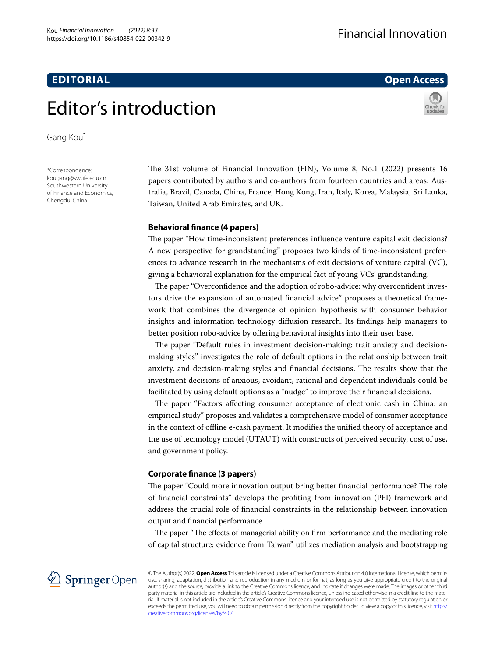## **EDITORIAL**

## **Open Access**



# Editor's introduction

Gang Kou\*

\*Correspondence: kougang@swufe.edu.cn Southwestern University of Finance and Economics, Chengdu, China

The 31st volume of Financial Innovation (FIN), Volume 8, No.1 (2022) presents 16 papers contributed by authors and co-authors from fourteen countries and areas: Australia, Brazil, Canada, China, France, Hong Kong, Iran, Italy, Korea, Malaysia, Sri Lanka, Taiwan, United Arab Emirates, and UK.

### **Behavioral fnance (4 papers)**

The paper "How time-inconsistent preferences influence venture capital exit decisions? A new perspective for grandstanding" proposes two kinds of time-inconsistent preferences to advance research in the mechanisms of exit decisions of venture capital (VC), giving a behavioral explanation for the empirical fact of young VCs' grandstanding.

The paper "Overconfidence and the adoption of robo-advice: why overconfident investors drive the expansion of automated fnancial advice" proposes a theoretical framework that combines the divergence of opinion hypothesis with consumer behavior insights and information technology difusion research. Its fndings help managers to better position robo-advice by offering behavioral insights into their user base.

The paper "Default rules in investment decision-making: trait anxiety and decisionmaking styles" investigates the role of default options in the relationship between trait anxiety, and decision-making styles and financial decisions. The results show that the investment decisions of anxious, avoidant, rational and dependent individuals could be facilitated by using default options as a "nudge" to improve their fnancial decisions.

The paper "Factors affecting consumer acceptance of electronic cash in China: an empirical study" proposes and validates a comprehensive model of consumer acceptance in the context of ofine e-cash payment. It modifes the unifed theory of acceptance and the use of technology model (UTAUT) with constructs of perceived security, cost of use, and government policy.

#### **Corporate fnance (3 papers)**

The paper "Could more innovation output bring better financial performance? The role of fnancial constraints" develops the profting from innovation (PFI) framework and address the crucial role of fnancial constraints in the relationship between innovation output and fnancial performance.

The paper "The effects of managerial ability on firm performance and the mediating role of capital structure: evidence from Taiwan" utilizes mediation analysis and bootstrapping



© The Author(s) 2022. **Open Access** This article is licensed under a Creative Commons Attribution 4.0 International License, which permits use, sharing, adaptation, distribution and reproduction in any medium or format, as long as you give appropriate credit to the original author(s) and the source, provide a link to the Creative Commons licence, and indicate if changes were made. The images or other third party material in this article are included in the article's Creative Commons licence, unless indicated otherwise in a credit line to the material. If material is not included in the article's Creative Commons licence and your intended use is not permitted by statutory regulation or exceeds the permitted use, you will need to obtain permission directly from the copyright holder. To view a copy of this licence, visit [http://](http://creativecommons.org/licenses/by/4.0/) [creativecommons.org/licenses/by/4.0/.](http://creativecommons.org/licenses/by/4.0/)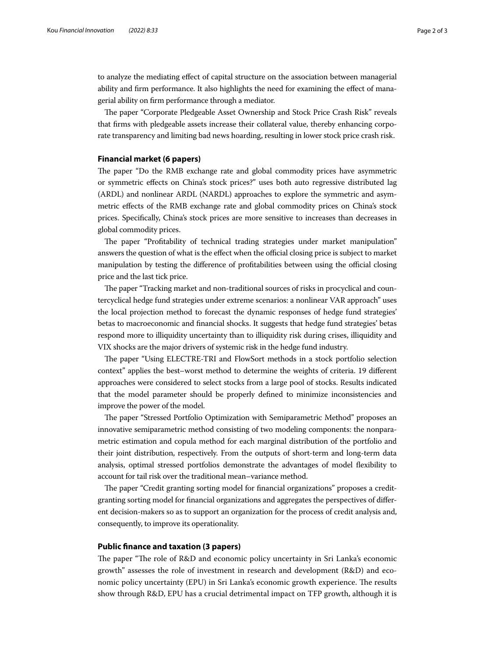to analyze the mediating efect of capital structure on the association between managerial ability and frm performance. It also highlights the need for examining the efect of managerial ability on frm performance through a mediator.

The paper "Corporate Pledgeable Asset Ownership and Stock Price Crash Risk" reveals that frms with pledgeable assets increase their collateral value, thereby enhancing corporate transparency and limiting bad news hoarding, resulting in lower stock price crash risk.

#### **Financial market (6 papers)**

The paper "Do the RMB exchange rate and global commodity prices have asymmetric or symmetric efects on China's stock prices?" uses both auto regressive distributed lag (ARDL) and nonlinear ARDL (NARDL) approaches to explore the symmetric and asymmetric efects of the RMB exchange rate and global commodity prices on China's stock prices. Specifcally, China's stock prices are more sensitive to increases than decreases in global commodity prices.

The paper "Profitability of technical trading strategies under market manipulation" answers the question of what is the effect when the official closing price is subject to market manipulation by testing the difference of profitabilities between using the official closing price and the last tick price.

The paper "Tracking market and non-traditional sources of risks in procyclical and countercyclical hedge fund strategies under extreme scenarios: a nonlinear VAR approach" uses the local projection method to forecast the dynamic responses of hedge fund strategies' betas to macroeconomic and fnancial shocks. It suggests that hedge fund strategies' betas respond more to illiquidity uncertainty than to illiquidity risk during crises, illiquidity and VIX shocks are the major drivers of systemic risk in the hedge fund industry.

The paper "Using ELECTRE-TRI and FlowSort methods in a stock portfolio selection context" applies the best–worst method to determine the weights of criteria. 19 diferent approaches were considered to select stocks from a large pool of stocks. Results indicated that the model parameter should be properly defned to minimize inconsistencies and improve the power of the model.

The paper "Stressed Portfolio Optimization with Semiparametric Method" proposes an innovative semiparametric method consisting of two modeling components: the nonparametric estimation and copula method for each marginal distribution of the portfolio and their joint distribution, respectively. From the outputs of short-term and long-term data analysis, optimal stressed portfolios demonstrate the advantages of model fexibility to account for tail risk over the traditional mean–variance method.

The paper "Credit granting sorting model for financial organizations" proposes a creditgranting sorting model for fnancial organizations and aggregates the perspectives of diferent decision-makers so as to support an organization for the process of credit analysis and, consequently, to improve its operationality.

#### **Public fnance and taxation (3 papers)**

The paper "The role of R&D and economic policy uncertainty in Sri Lanka's economic growth" assesses the role of investment in research and development (R&D) and economic policy uncertainty (EPU) in Sri Lanka's economic growth experience. The results show through R&D, EPU has a crucial detrimental impact on TFP growth, although it is